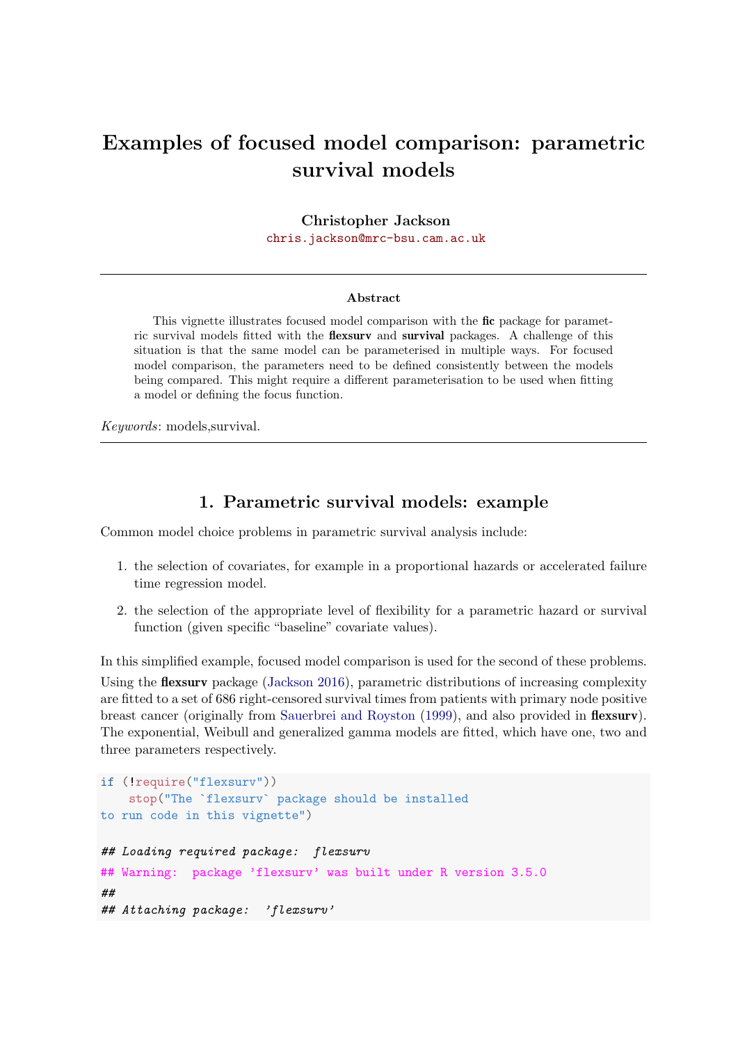# Examples of focused model comparison: parametric survival models

Christopher Jackson

[chris.jackson@mrc-bsu.cam.ac.uk](mailto:chris.jackson@mrc-bsu.cam.ac.uk)

#### Abstract

This vignette illustrates focused model comparison with the fic package for parametric survival models fitted with the flexsurv and survival packages. A challenge of this situation is that the same model can be parameterised in multiple ways. For focused model comparison, the parameters need to be defined consistently between the models being compared. This might require a different parameterisation to be used when fitting a model or defining the focus function.

Keywords: models,survival.

### 1. Parametric survival models: example

Common model choice problems in parametric survival analysis include:

- 1. the selection of covariates, for example in a proportional hazards or accelerated failure time regression model.
- 2. the selection of the appropriate level of flexibility for a parametric hazard or survival function (given specific "baseline" covariate values).

In this simplified example, focused model comparison is used for the second of these problems. Using the **flexsurv** package [\(Jackson](#page-5-0) [2016\)](#page-5-0), parametric distributions of increasing complexity are fitted to a set of 686 right-censored survival times from patients with primary node positive breast cancer (originally from [Sauerbrei and Royston](#page-5-1) [\(1999\)](#page-5-1), and also provided in **flexsurv**). The exponential, Weibull and generalized gamma models are fitted, which have one, two and three parameters respectively.

```
if (!require("flexsurv"))
   stop("The `flexsurv` package should be installed
to run code in this vignette")
## Loading required package: flexsurv
## Warning: package 'flexsurv' was built under R version 3.5.0
##
## Attaching package: 'flexsurv'
```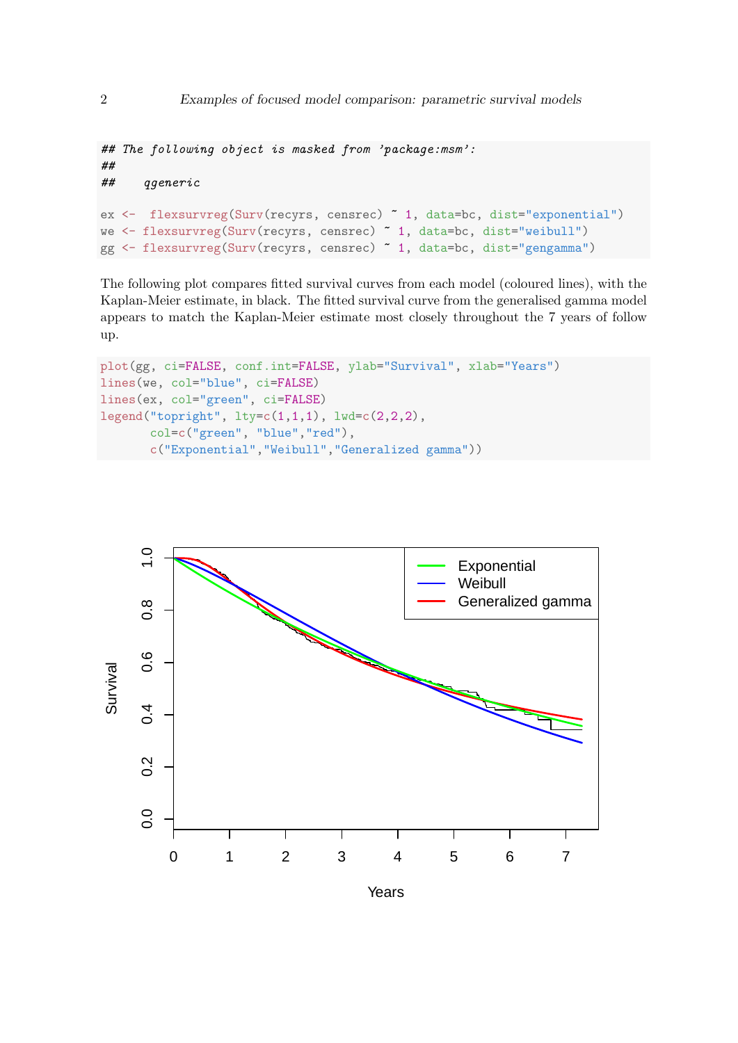```
## The following object is masked from 'package:msm':
##
## qgeneric
ex <- flexsurvreg(Surv(recyrs, censrec) ~ 1, data=bc, dist="exponential")
we <- flexsurvreg(Surv(recyrs, censrec) ~ 1, data=bc, dist="weibull")
gg <- flexsurvreg(Surv(recyrs, censrec) ~ 1, data=bc, dist="gengamma")
```
The following plot compares fitted survival curves from each model (coloured lines), with the Kaplan-Meier estimate, in black. The fitted survival curve from the generalised gamma model appears to match the Kaplan-Meier estimate most closely throughout the 7 years of follow up.

```
plot(gg, ci=FALSE, conf.int=FALSE, ylab="Survival", xlab="Years")
lines(we, col="blue", ci=FALSE)
lines(ex, col="green", ci=FALSE)
legend("topright", lty=c(1,1,1), lwd=c(2,2,2),
       col=c("green", "blue","red"),
       c("Exponential","Weibull","Generalized gamma"))
```
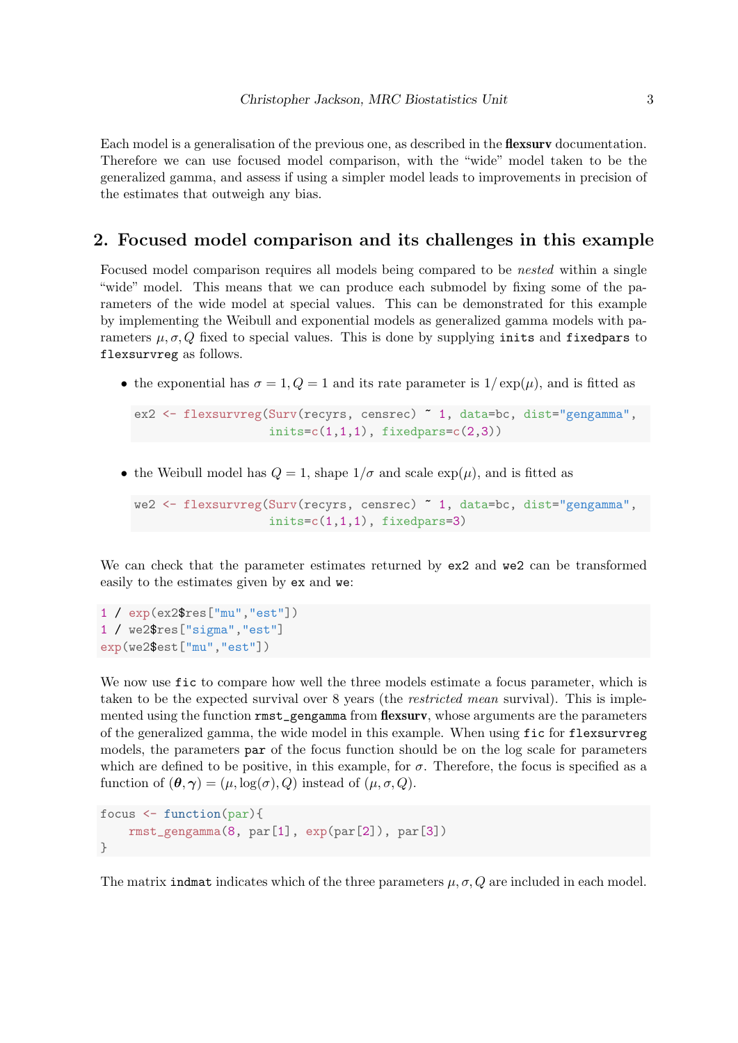Each model is a generalisation of the previous one, as described in the **flexsury** documentation. Therefore we can use focused model comparison, with the "wide" model taken to be the generalized gamma, and assess if using a simpler model leads to improvements in precision of the estimates that outweigh any bias.

### 2. Focused model comparison and its challenges in this example

Focused model comparison requires all models being compared to be nested within a single "wide" model. This means that we can produce each submodel by fixing some of the parameters of the wide model at special values. This can be demonstrated for this example by implementing the Weibull and exponential models as generalized gamma models with parameters  $\mu, \sigma, Q$  fixed to special values. This is done by supplying inits and fixedpars to flexsurvreg as follows.

• the exponential has  $\sigma = 1, Q = 1$  and its rate parameter is  $1/\exp(\mu)$ , and is fitted as

```
ex2 <- flexsurvreg(Surv(recyrs, censrec) ~ 1, data=bc, dist="gengamma",
                  inits=c(1,1,1), fixedparsec(2,3)
```
• the Weibull model has  $Q = 1$ , shape  $1/\sigma$  and scale  $\exp(\mu)$ , and is fitted as

```
we2 <- flexsurvreg(Surv(recyrs, censrec) ~ 1, data=bc, dist="gengamma",
                   inits=c(1,1,1), fixedparse=3)
```
We can check that the parameter estimates returned by  $ex2$  and we2 can be transformed easily to the estimates given by ex and we:

1 / exp(ex2\$res["mu","est"]) 1 / we2\$res["sigma","est"] exp(we2\$est["mu","est"])

We now use fic to compare how well the three models estimate a focus parameter, which is taken to be the expected survival over 8 years (the *restricted mean* survival). This is implemented using the function  $\text{rmst\_gengamma}$  from flexsurv, whose arguments are the parameters of the generalized gamma, the wide model in this example. When using fic for flexsurvreg models, the parameters par of the focus function should be on the log scale for parameters which are defined to be positive, in this example, for  $\sigma$ . Therefore, the focus is specified as a function of  $(\theta, \gamma) = (\mu, \log(\sigma), Q)$  instead of  $(\mu, \sigma, Q)$ .

```
focus <- function(par){
   rmst_gengamma(8, par[1], exp(par[2]), par[3])
}
```
The matrix indmati ndicates which of the three parameters  $\mu$ ,  $\sigma$ ,  $Q$  are included in each model.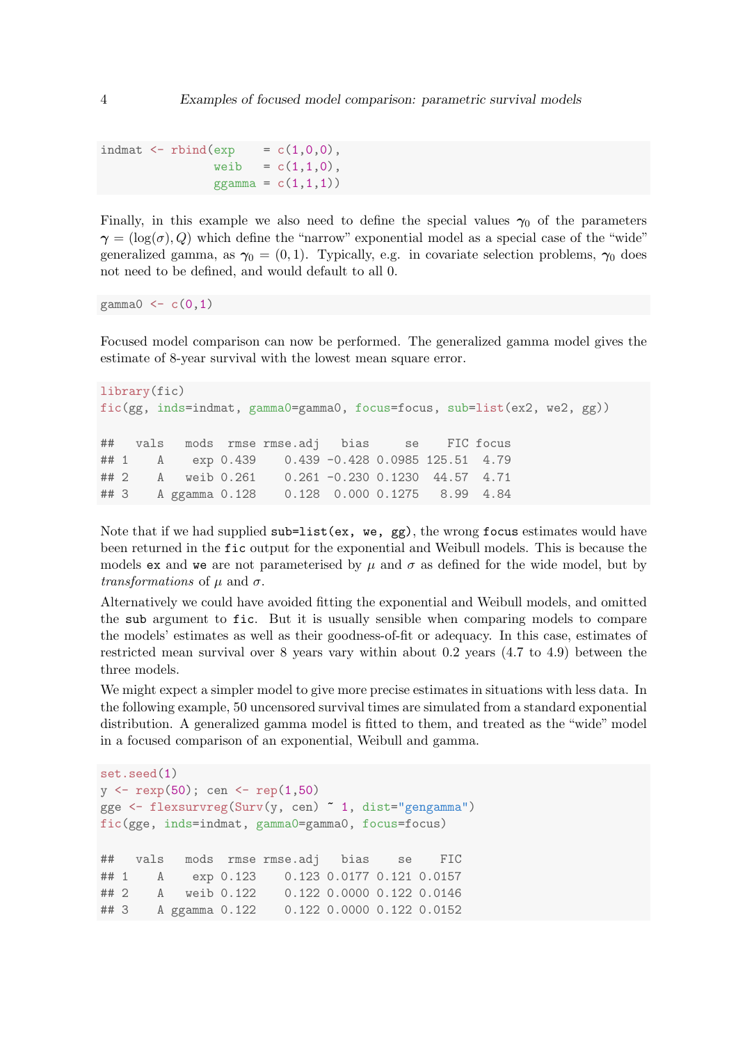```
indmat \leq rbind(exp = c(1,0,0),
               weib = c(1,1,0),
               ggamma = c(1,1,1))
```
Finally, in this example we also need to define the special values  $\gamma_0$  of the parameters  $\gamma = (\log(\sigma), Q)$  which define the "narrow" exponential model as a special case of the "wide" generalized gamma, as  $\gamma_0 = (0, 1)$ . Typically, e.g. in covariate selection problems,  $\gamma_0$  does not need to be defined, and would default to all 0.

gamma0 <-  $c(0,1)$ 

Focused model comparison can now be performed. The generalized gamma model gives the estimate of 8-year survival with the lowest mean square error.

```
library(fic)
fic(gg, inds=indmat, gamma0=gamma0, focus=focus, sub=list(ex2, we2, gg))
## vals mods rmse rmse.adj bias se FIC focus
## 1 A exp 0.439 0.439 -0.428 0.0985 125.51 4.79
## 2 A weib 0.261 0.261 -0.230 0.1230 44.57 4.71
## 3 A ggamma 0.128 0.128 0.000 0.1275 8.99 4.84
```
Note that if we had supplied  $\text{sub-list}(\text{ex}, \text{we}, \text{gg})$ , the wrong focus estimates would have been returned in the fic output for the exponential and Weibull models. This is because the models ex and we are not parameterised by  $\mu$  and  $\sigma$  as defined for the wide model, but by *transformations* of  $\mu$  and  $\sigma$ .

Alternatively we could have avoided fitting the exponential and Weibull models, and omitted the sub argument to fic. But it is usually sensible when comparing models to compare the models' estimates as well as their goodness-of-fit or adequacy. In this case, estimates of restricted mean survival over 8 years vary within about 0.2 years (4.7 to 4.9) between the three models.

We might expect a simpler model to give more precise estimates in situations with less data. In the following example, 50 uncensored survival times are simulated from a standard exponential distribution. A generalized gamma model is fitted to them, and treated as the "wide" model in a focused comparison of an exponential, Weibull and gamma.

```
set.seed(1)
y \leftarrow \text{resp}(50); cen \leftarrow \text{rep}(1,50)gge <- flexsurvreg(Surv(y, cen) ~ 1, dist="gengamma")
fic(gge, inds=indmat, gamma0=gamma0, focus=focus)
## vals mods rmse rmse.adj bias se FIC
## 1 A exp 0.123 0.123 0.0177 0.121 0.0157
## 2 A weib 0.122 0.122 0.0000 0.122 0.0146
## 3 A ggamma 0.122 0.122 0.0000 0.122 0.0152
```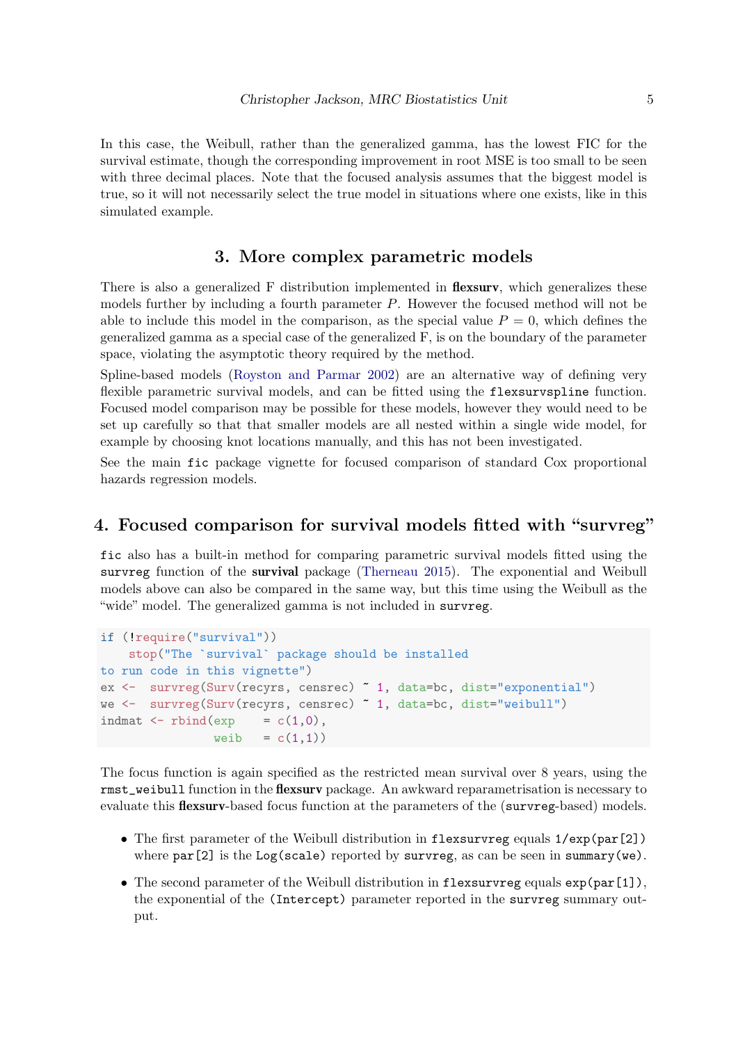In this case, the Weibull, rather than the generalized gamma, has the lowest FIC for the survival estimate, though the corresponding improvement in root MSE is too small to be seen with three decimal places. Note that the focused analysis assumes that the biggest model is true, so it will not necessarily select the true model in situations where one exists, like in this simulated example.

### 3. More complex parametric models

There is also a generalized F distribution implemented in **flexsury**, which generalizes these models further by including a fourth parameter P. However the focused method will not be able to include this model in the comparison, as the special value  $P = 0$ , which defines the generalized gamma as a special case of the generalized F, is on the boundary of the parameter space, violating the asymptotic theory required by the method.

Spline-based models [\(Royston and Parmar](#page-5-2) [2002\)](#page-5-2) are an alternative way of defining very flexible parametric survival models, and can be fitted using the flexsurvspline function. Focused model comparison may be possible for these models, however they would need to be set up carefully so that that smaller models are all nested within a single wide model, for example by choosing knot locations manually, and this has not been investigated.

See the main fic package vignette for focused comparison of standard Cox proportional hazards regression models.

#### 4. Focused comparison for survival models fitted with "survreg"

fic also has a built-in method for comparing parametric survival models fitted using the survreg function of the survival package [\(Therneau](#page-5-3) [2015\)](#page-5-3). The exponential and Weibull models above can also be compared in the same way, but this time using the Weibull as the "wide" model. The generalized gamma is not included in survreg.

```
if (!require("survival"))
   stop("The `survival` package should be installed
to run code in this vignette")
ex <- survreg(Surv(recyrs, censrec) ~ 1, data=bc, dist="exponential")
we <- survreg(Surv(recyrs, censrec) ~ 1, data=bc, dist="weibull")
indmat \leq rbind(exp = c(1,0),
               weib = c(1,1)
```
The focus function is again specified as the restricted mean survival over 8 years, using the rmst\_weibull function in the flexsurv package. An awkward reparametrisation is necessary to evaluate this **flexsurv**-based focus function at the parameters of the (survreg-based) models.

- The first parameter of the Weibull distribution in flexsurvreg equals  $1/\exp(\text{par}[2])$ where  $par[2]$  is the Log(scale) reported by survreg, as can be seen in summary(we).
- The second parameter of the Weibull distribution in flexsurvreg equals  $\exp(\text{par}[1]),$ the exponential of the (Intercept) parameter reported in the survreg summary output.